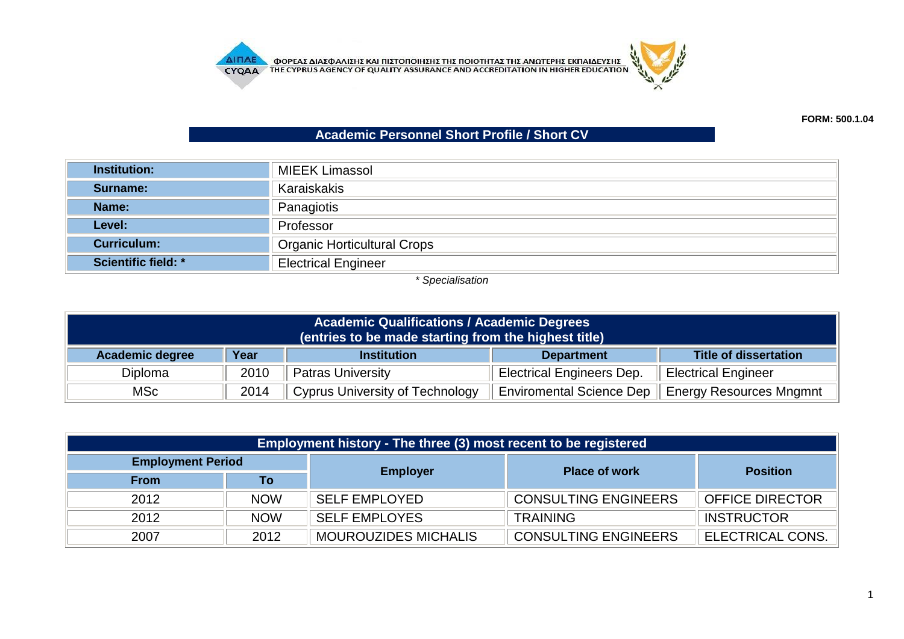



## **Academic Personnel Short Profile / Short CV**

| <b>Institution:</b>        | <b>MIEEK Limassol</b>              |  |  |
|----------------------------|------------------------------------|--|--|
| Surname:                   | Karaiskakis                        |  |  |
| Name:                      | Panagiotis                         |  |  |
| Level:                     | Professor                          |  |  |
| <b>Curriculum:</b>         | <b>Organic Horticultural Crops</b> |  |  |
| <b>Scientific field: *</b> | <b>Electrical Engineer</b>         |  |  |

*\* Specialisation*

| <b>Academic Qualifications / Academic Degrees</b><br>(entries to be made starting from the highest title) |                                                                                 |                                        |                                  |                                |  |  |
|-----------------------------------------------------------------------------------------------------------|---------------------------------------------------------------------------------|----------------------------------------|----------------------------------|--------------------------------|--|--|
| <b>Academic degree</b>                                                                                    | Year<br><b>Title of dissertation</b><br><b>Institution</b><br><b>Department</b> |                                        |                                  |                                |  |  |
| <b>Diploma</b>                                                                                            | 2010                                                                            | <b>Patras University</b>               | <b>Electrical Engineers Dep.</b> | <b>Electrical Engineer</b>     |  |  |
| MSc                                                                                                       | 2014                                                                            | <b>Cyprus University of Technology</b> | <b>Enviromental Science Dep</b>  | <b>Energy Resources Mngmnt</b> |  |  |

| Employment history - The three (3) most recent to be registered |            |                             |                             |                        |  |  |
|-----------------------------------------------------------------|------------|-----------------------------|-----------------------------|------------------------|--|--|
| <b>Employment Period</b>                                        |            |                             | <b>Place of work</b>        | <b>Position</b>        |  |  |
| <b>From</b>                                                     | Τo         | <b>Employer</b>             |                             |                        |  |  |
| 2012                                                            | <b>NOW</b> | <b>SELF EMPLOYED</b>        | <b>CONSULTING ENGINEERS</b> | <b>OFFICE DIRECTOR</b> |  |  |
| 2012                                                            | <b>NOW</b> | <b>SELF EMPLOYES</b>        | <b>TRAINING</b>             | <b>INSTRUCTOR</b>      |  |  |
| 2007                                                            | 2012       | <b>MOUROUZIDES MICHALIS</b> | <b>CONSULTING ENGINEERS</b> | ELECTRICAL CONS.       |  |  |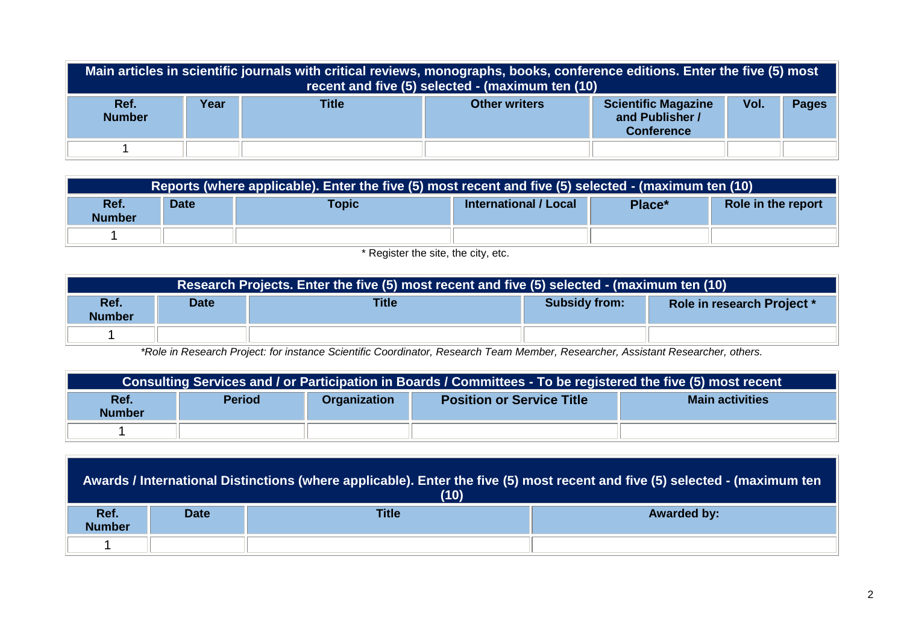| Main articles in scientific journals with critical reviews, monographs, books, conference editions. Enter the five (5) most<br>recent and five (5) selected - (maximum ten (10) |      |              |                      |                                                                    |      |              |
|---------------------------------------------------------------------------------------------------------------------------------------------------------------------------------|------|--------------|----------------------|--------------------------------------------------------------------|------|--------------|
| Ref.<br><b>Number</b>                                                                                                                                                           | Year | <b>Title</b> | <b>Other writers</b> | <b>Scientific Magazine</b><br>and Publisher /<br><b>Conference</b> | Vol. | <b>Pages</b> |
|                                                                                                                                                                                 |      |              |                      |                                                                    |      |              |

|                                                                                  | Reports (where applicable). Enter the five (5) most recent and five (5) selected - (maximum ten (10) |  |  |  |                    |  |
|----------------------------------------------------------------------------------|------------------------------------------------------------------------------------------------------|--|--|--|--------------------|--|
| Ref.<br>International / Local<br>Topic<br><b>Date</b><br>Place*<br><b>Number</b> |                                                                                                      |  |  |  | Role in the report |  |
|                                                                                  |                                                                                                      |  |  |  |                    |  |

\* Register the site, the city, etc.

| Research Projects. Enter the five (5) most recent and five (5) selected - (maximum ten (10)                |  |  |  |  |  |  |
|------------------------------------------------------------------------------------------------------------|--|--|--|--|--|--|
| Ref.<br><b>Title</b><br><b>Subsidy from:</b><br><b>Date</b><br>Role in research Project *<br><b>Number</b> |  |  |  |  |  |  |
|                                                                                                            |  |  |  |  |  |  |

*\*Role in Research Project: for instance Scientific Coordinator, Research Team Member, Researcher, Assistant Researcher, others.*

| Consulting Services and / or Participation in Boards / Committees - To be registered the five (5) most recent               |  |  |  |  |  |
|-----------------------------------------------------------------------------------------------------------------------------|--|--|--|--|--|
| <b>Period</b><br>Ref.<br><b>Main activities</b><br><b>Organization</b><br><b>Position or Service Title</b><br><b>Number</b> |  |  |  |  |  |
|                                                                                                                             |  |  |  |  |  |

| Awards / International Distinctions (where applicable). Enter the five (5) most recent and five (5) selected - (maximum ten<br>(10) |             |              |                    |  |  |
|-------------------------------------------------------------------------------------------------------------------------------------|-------------|--------------|--------------------|--|--|
| Ref.<br><b>Number</b>                                                                                                               | <b>Date</b> | <b>Title</b> | <b>Awarded by:</b> |  |  |
|                                                                                                                                     |             |              |                    |  |  |